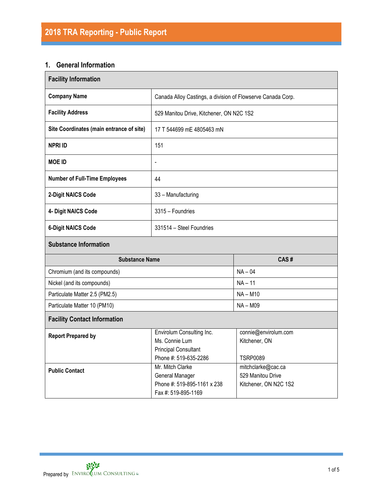# **1. General Information**

| <b>Facility Information</b>              |                                                                                                     |                                                                  |  |  |  |  |
|------------------------------------------|-----------------------------------------------------------------------------------------------------|------------------------------------------------------------------|--|--|--|--|
| <b>Company Name</b>                      | Canada Alloy Castings, a division of Flowserve Canada Corp.                                         |                                                                  |  |  |  |  |
| <b>Facility Address</b>                  |                                                                                                     | 529 Manitou Drive, Kitchener, ON N2C 1S2                         |  |  |  |  |
| Site Coordinates (main entrance of site) | 17 T 544699 mE 4805463 mN                                                                           |                                                                  |  |  |  |  |
| <b>NPRI ID</b>                           | 151                                                                                                 |                                                                  |  |  |  |  |
| <b>MOE ID</b>                            | $\frac{1}{2}$                                                                                       |                                                                  |  |  |  |  |
| <b>Number of Full-Time Employees</b>     | 44                                                                                                  |                                                                  |  |  |  |  |
| 2-Digit NAICS Code                       | 33 - Manufacturing                                                                                  |                                                                  |  |  |  |  |
| 4- Digit NAICS Code                      | 3315 - Foundries                                                                                    |                                                                  |  |  |  |  |
| <b>6-Digit NAICS Code</b>                | 331514 - Steel Foundries                                                                            |                                                                  |  |  |  |  |
| <b>Substance Information</b>             |                                                                                                     |                                                                  |  |  |  |  |
| <b>Substance Name</b>                    |                                                                                                     | CAS#                                                             |  |  |  |  |
| Chromium (and its compounds)             |                                                                                                     | $NA - 04$                                                        |  |  |  |  |
| Nickel (and its compounds)               |                                                                                                     | $NA - 11$                                                        |  |  |  |  |
| Particulate Matter 2.5 (PM2.5)           |                                                                                                     | $NA - M10$                                                       |  |  |  |  |
| Particulate Matter 10 (PM10)             |                                                                                                     | $NA - M09$                                                       |  |  |  |  |
| <b>Facility Contact Information</b>      |                                                                                                     |                                                                  |  |  |  |  |
| <b>Report Prepared by</b>                | Envirolum Consulting Inc.<br>Ms. Connie Lum<br><b>Principal Consultant</b><br>Phone #: 519-635-2286 | connie@envirolum.com<br>Kitchener, ON<br><b>TSRP0089</b>         |  |  |  |  |
| <b>Public Contact</b>                    | Mr. Mitch Clarke<br>General Manager<br>Phone #: 519-895-1161 x 238                                  | mitchclarke@cac.ca<br>529 Manitou Drive<br>Kitchener, ON N2C 1S2 |  |  |  |  |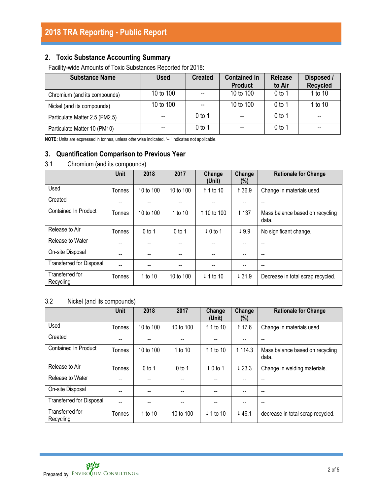## **2. Toxic Substance Accounting Summary**

Facility-wide Amounts of Toxic Substances Reported for 2018:

| <b>Substance Name</b>          | <b>Used</b> | <b>Created</b> | <b>Contained In</b><br><b>Product</b> | <b>Release</b><br>to Air | Disposed /<br><b>Recycled</b> |
|--------------------------------|-------------|----------------|---------------------------------------|--------------------------|-------------------------------|
| Chromium (and its compounds)   | 10 to 100   |                | 10 to 100                             | 0 <sub>to 1</sub>        | 1 to 10                       |
| Nickel (and its compounds)     | 10 to 100   |                | 10 to 100                             | $0$ to 1                 | 1 to 10                       |
| Particulate Matter 2.5 (PM2.5) |             | 0 to 1         | $- -$                                 | 0 <sub>to 1</sub>        | --                            |
| Particulate Matter 10 (PM10)   |             | 0 to 1         | $-$                                   | $0$ to 1                 | --                            |

**NOTE:** Units are expressed in tonnes, unless otherwise indicated. '-- ' indicates not applicable.

## **3. Quantification Comparison to Previous Year**

## 3.1 Chromium (and its compounds)

|                                 | Unit   | 2018      | 2017      | Change<br>(Unit)     | Change<br>$(\%)$ | <b>Rationale for Change</b>              |
|---------------------------------|--------|-----------|-----------|----------------------|------------------|------------------------------------------|
| Used                            | Tonnes | 10 to 100 | 10 to 100 | $\uparrow$ 1 to 10   | 1 3 6.9          | Change in materials used.                |
| Created                         |        |           |           |                      |                  |                                          |
| <b>Contained In Product</b>     | Tonnes | 10 to 100 | 1 to 10   | 1 10 to 100          | <b>t</b> 137     | Mass balance based on recycling<br>data. |
| Release to Air                  | Tonnes | $0$ to 1  | $0$ to 1  | $\downarrow$ 0 to 1  | 49.9             | No significant change.                   |
| Release to Water                | --     |           |           |                      |                  | --                                       |
| On-site Disposal                | --     |           |           |                      |                  | --                                       |
| <b>Transferred for Disposal</b> |        | --        |           | --                   |                  | $- -$                                    |
| Transferred for<br>Recycling    | Tonnes | 1 to 10   | 10 to 100 | $\downarrow$ 1 to 10 | 431.9            | Decrease in total scrap recycled.        |

## 3.2 Nickel (and its compounds)

|                                 | <b>Unit</b> | 2018      | 2017      | Change<br>(Unit)     | Change<br>$(\%)$ | <b>Rationale for Change</b>              |
|---------------------------------|-------------|-----------|-----------|----------------------|------------------|------------------------------------------|
| Used                            | Tonnes      | 10 to 100 | 10 to 100 | 1 1 to 10            | 117.6            | Change in materials used.                |
| Created                         |             |           |           |                      |                  |                                          |
| <b>Contained In Product</b>     | Tonnes      | 10 to 100 | 1 to 10   | $\uparrow$ 1 to 10   | 1 1 1 4 . 3      | Mass balance based on recycling<br>data. |
| Release to Air                  | Tonnes      | $0$ to 1  | $0$ to 1  | $\downarrow$ 0 to 1  | 423.3            | Change in welding materials.             |
| Release to Water                | --          | --        | $-$       | --                   |                  | --                                       |
| On-site Disposal                | --          | --        | --        | --                   |                  | $- -$                                    |
| <b>Transferred for Disposal</b> |             | --        | --        |                      |                  | $- -$                                    |
| Transferred for<br>Recycling    | Tonnes      | 1 to 10   | 10 to 100 | $\downarrow$ 1 to 10 | ↓46.1            | decrease in total scrap recycled.        |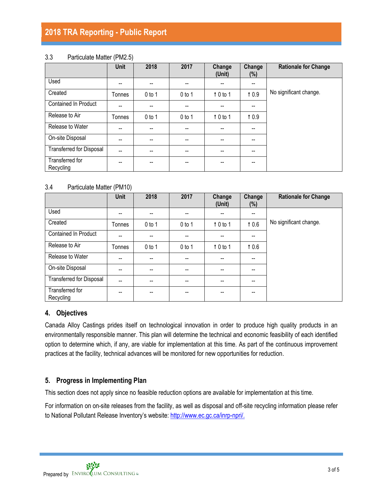# **2018 TRA Reporting - Public Report**

### 3.3 Particulate Matter (PM2.5)

|                                 | <b>Unit</b>    | 2018     | 2017     | Change<br>(Unit)         | Change<br>$(\%)$                      | <b>Rationale for Change</b> |
|---------------------------------|----------------|----------|----------|--------------------------|---------------------------------------|-----------------------------|
| Used                            | --             | --       | --       | $- -$                    | $\overline{\phantom{a}}$              |                             |
| Created                         | Tonnes         | $0$ to 1 | $0$ to 1 | 10 to 1                  | 10.9                                  | No significant change.      |
| <b>Contained In Product</b>     | --             | --       |          | --                       | $- -$                                 |                             |
| Release to Air                  | Tonnes         | $0$ to 1 | $0$ to 1 | $\uparrow$ 0 to 1        | 10.9                                  |                             |
| Release to Water                | $-$            | $-$      | --       | $\overline{\phantom{a}}$ | $\overline{\phantom{a}}$              |                             |
| On-site Disposal                | --             | --       |          | $- -$                    | $- -$                                 |                             |
| <b>Transferred for Disposal</b> | $\overline{a}$ | --       | --       | $-$                      | $\hspace{0.05cm}$ – $\hspace{0.05cm}$ |                             |
| Transferred for<br>Recycling    | --             | --       | --       | $- -$                    | $\hspace{0.05cm}$ – $\hspace{0.05cm}$ |                             |

### 3.4 Particulate Matter (PM10)

|                                 | Unit   | 2018                     | 2017                     | Change<br>(Unit)         | Change<br>$(\%)$         | <b>Rationale for Change</b> |
|---------------------------------|--------|--------------------------|--------------------------|--------------------------|--------------------------|-----------------------------|
| Used                            | --     | $-$                      | $\overline{\phantom{a}}$ | $\overline{\phantom{a}}$ | $\overline{\phantom{a}}$ |                             |
| Created                         | Tonnes | $0$ to 1                 | $0$ to 1                 | 10 to 1                  | 10.6                     | No significant change.      |
| <b>Contained In Product</b>     | --     | --                       | --                       | --                       | $- -$                    |                             |
| Release to Air                  | Tonnes | $0$ to 1                 | $0$ to 1                 | $\uparrow$ 0 to 1        | 10.6                     |                             |
| Release to Water                | --     | $-$                      |                          | $\overline{\phantom{a}}$ | $-$                      |                             |
| On-site Disposal                | --     | $\overline{\phantom{a}}$ | $\overline{\phantom{a}}$ | $\overline{\phantom{a}}$ | $\overline{\phantom{a}}$ |                             |
| <b>Transferred for Disposal</b> | --     | $- -$                    |                          | --                       | --                       |                             |
| Transferred for<br>Recycling    | --     | --                       |                          | --                       | --                       |                             |

## **4. Objectives**

Canada Alloy Castings prides itself on technological innovation in order to produce high quality products in an environmentally responsible manner. This plan will determine the technical and economic feasibility of each identified option to determine which, if any, are viable for implementation at this time. As part of the continuous improvement practices at the facility, technical advances will be monitored for new opportunities for reduction.

## **5. Progress in Implementing Plan**

This section does not apply since no feasible reduction options are available for implementation at this time.

For information on on-site releases from the facility, as well as disposal and off-site recycling information please refer to National Pollutant Release Inventory's website: [http://www.ec.gc.ca/inrp-npri/.](http://www.ec.gc.ca/inrp-npri/)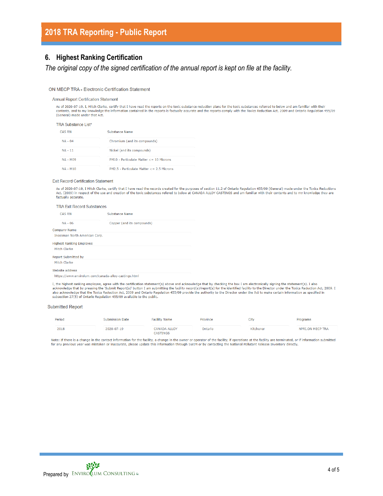# **2018 TRA Reporting - Public Report**

### **6. Highest Ranking Certification**

*The original copy of the signed certification of the annual report is kept on file at the facility.*

### ON MECP TRA - Electronic Certification Statement

#### **Annual Report Certification Statement**

As of 2020-07-19, I, Mitch Clarke, certify that I have read the reports on the toxic substance reduction plans for the toxic substances referred to below and am familiar with their contents, and to my knowledge the information contained in the reports is factually accurate and the reports comply with the Toxics Reduction Act, 2009 and Ontario Regulation 455/09 (General) made under that Act.

#### **TRA Substance List\***

| <b>CAS RN</b>   | Substance Name                             |
|-----------------|--------------------------------------------|
| $NA - 04$       | Chromium (and its compounds)               |
| $NA - 11$       | Nickel (and its compounds)                 |
| $NA - M09$      | $PM10 - Particulate Matter < 10$ Microns   |
| <b>NA - M10</b> | $PM2.5 - Particulate Matter < 2.5$ Microns |

#### **Exit Record Certification Statement**

As of 2020-07-19, I Mitch Clarke, certify that I have read the records created for the purposes of section 11.2 of Ontario Regulation 455/09 (General) made under the Toxics Reductions Act, (2009) in respect of the use and creation of the toxic substances refered to below at CANADA ALLOY CASTINGS and am familiar with their contents and to my knowledge they are factually accurate.

### **TRA Exit Record Substances**

| <b>CAS RN</b>                                        | Substance Name             |
|------------------------------------------------------|----------------------------|
| $NA - 06$                                            | Copper (and its compounds) |
| Company Name                                         |                            |
| Inossman North American Corp.                        |                            |
| Highest Ranking Emplovee                             |                            |
| Mitch Clarke                                         |                            |
| Report Submitted by                                  |                            |
| Mitch Clarke                                         |                            |
| Website address                                      |                            |
| https://www.envirolum.com/canada-alloy-castings.html |                            |

I, the highest ranking employee, agree with the certification statement(s) above and acknowledge that by checking the box I am electronically signing the statement(s). I also scheme that by pressing the "Submit Report(s)" button I am submitting the facility record(s)/report(s) for the identified facility to the Director under the Toxics Reduction Act, 2009. I<br>also acknowledge that the Toxics Re subsection 27(5) of Ontario Regulation 455/09 available to the public.

### **Submitted Report**

| Period | <b>Submission Date</b> | <b>Facility Name</b>     | Province | City      | Programs         |  |
|--------|------------------------|--------------------------|----------|-----------|------------------|--|
| 2018   | 2020-07-19             | CANADA ALLOY<br>CASTINGS | Ontario  | Kitchener | NPRI.ON MECP TRA |  |

Note: If there is a change in the contact information for the facility, a change in the owner or operator of the facility, if operations at the facility are terminated, or if information submitted for any previous year was mistaken or inaccurate, please update this information through SWIM or by contacting the National Pollutant Release Inventory directly,